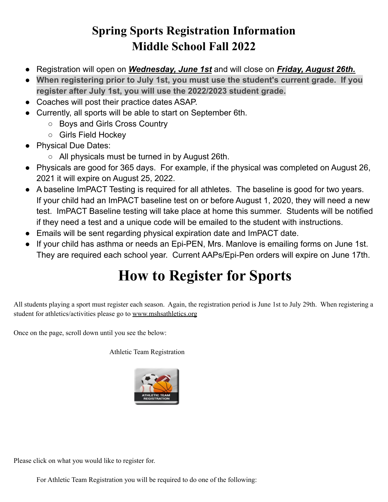## **Spring Sports Registration Information Middle School Fall 2022**

- Registration will open on *Wednesday, June 1st* and will close on *Friday, August 26th.*
- **When registering prior to July 1st, you must use the student's current grade. If you register after July 1st, you will use the 2022/2023 student grade.**
- Coaches will post their practice dates ASAP.
- Currently, all sports will be able to start on September 6th.
	- Boys and Girls Cross Country
	- Girls Field Hockey
- Physical Due Dates:
	- All physicals must be turned in by August 26th.
- Physicals are good for 365 days. For example, if the physical was completed on August 26, 2021 it will expire on August 25, 2022.
- A baseline ImPACT Testing is required for all athletes. The baseline is good for two years. If your child had an ImPACT baseline test on or before August 1, 2020, they will need a new test. ImPACT Baseline testing will take place at home this summer. Students will be notified if they need a test and a unique code will be emailed to the student with instructions.
- Emails will be sent regarding physical expiration date and ImPACT date.
- If your child has asthma or needs an Epi-PEN, Mrs. Manlove is emailing forms on June 1st. They are required each school year. Current AAPs/Epi-Pen orders will expire on June 17th.

## **How to Register for Sports**

All students playing a sport must register each season. Again, the registration period is June 1st to July 29th. When registering a student for athletics/activities please go to [www.mshsathletics.org](http://www.mshsathletics.org/)

Once on the page, scroll down until you see the below:

Athletic Team Registration



Please click on what you would like to register for.

For Athletic Team Registration you will be required to do one of the following: